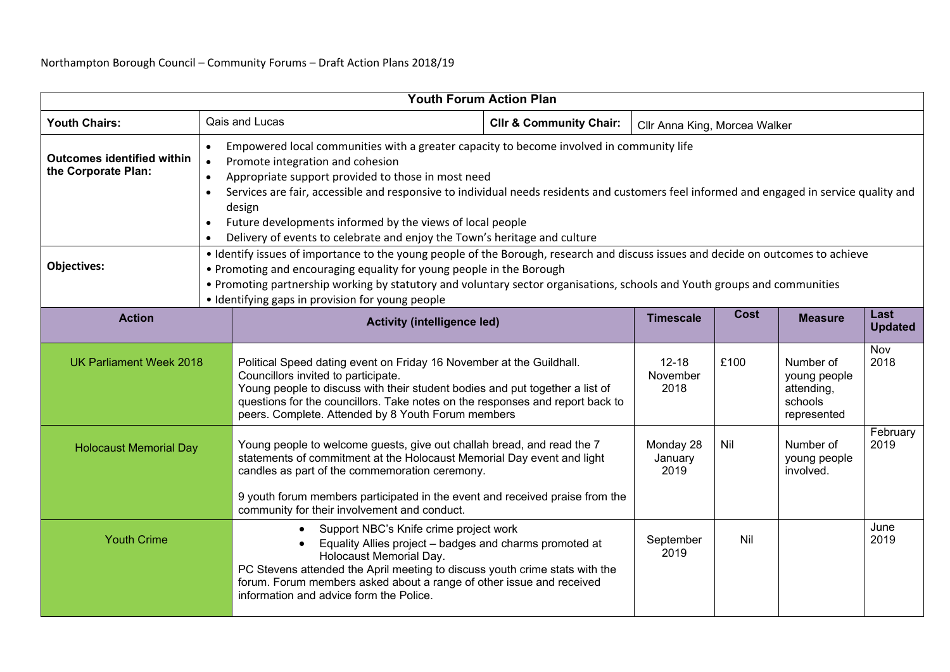| <b>Youth Forum Action Plan</b>                           |                                                                                                                                                                                                                                                                                                                                                                                            |                                                                                                                                                                                                                                                                                                                                                                                                                                                                                     |                                    |                               |             |                                                                   |                        |  |  |  |  |  |
|----------------------------------------------------------|--------------------------------------------------------------------------------------------------------------------------------------------------------------------------------------------------------------------------------------------------------------------------------------------------------------------------------------------------------------------------------------------|-------------------------------------------------------------------------------------------------------------------------------------------------------------------------------------------------------------------------------------------------------------------------------------------------------------------------------------------------------------------------------------------------------------------------------------------------------------------------------------|------------------------------------|-------------------------------|-------------|-------------------------------------------------------------------|------------------------|--|--|--|--|--|
| <b>Youth Chairs:</b>                                     |                                                                                                                                                                                                                                                                                                                                                                                            | Qais and Lucas                                                                                                                                                                                                                                                                                                                                                                                                                                                                      | <b>Cllr &amp; Community Chair:</b> | Cllr Anna King, Morcea Walker |             |                                                                   |                        |  |  |  |  |  |
| <b>Outcomes identified within</b><br>the Corporate Plan: | $\bullet$<br>$\bullet$<br>$\bullet$<br>$\bullet$<br>$\bullet$                                                                                                                                                                                                                                                                                                                              | Empowered local communities with a greater capacity to become involved in community life<br>Promote integration and cohesion<br>Appropriate support provided to those in most need<br>Services are fair, accessible and responsive to individual needs residents and customers feel informed and engaged in service quality and<br>design<br>Future developments informed by the views of local people<br>Delivery of events to celebrate and enjoy the Town's heritage and culture |                                    |                               |             |                                                                   |                        |  |  |  |  |  |
| <b>Objectives:</b>                                       | • Identify issues of importance to the young people of the Borough, research and discuss issues and decide on outcomes to achieve<br>• Promoting and encouraging equality for young people in the Borough<br>. Promoting partnership working by statutory and voluntary sector organisations, schools and Youth groups and communities<br>• Identifying gaps in provision for young people |                                                                                                                                                                                                                                                                                                                                                                                                                                                                                     |                                    |                               |             |                                                                   |                        |  |  |  |  |  |
| <b>Action</b>                                            |                                                                                                                                                                                                                                                                                                                                                                                            | <b>Activity (intelligence led)</b>                                                                                                                                                                                                                                                                                                                                                                                                                                                  |                                    | <b>Timescale</b>              | <b>Cost</b> | <b>Measure</b>                                                    | Last<br><b>Updated</b> |  |  |  |  |  |
| <b>UK Parliament Week 2018</b>                           |                                                                                                                                                                                                                                                                                                                                                                                            | Political Speed dating event on Friday 16 November at the Guildhall.<br>Councillors invited to participate.<br>Young people to discuss with their student bodies and put together a list of<br>questions for the councillors. Take notes on the responses and report back to<br>peers. Complete. Attended by 8 Youth Forum members                                                                                                                                                  |                                    | $12 - 18$<br>November<br>2018 | £100        | Number of<br>young people<br>attending,<br>schools<br>represented | Nov<br>2018            |  |  |  |  |  |
| <b>Holocaust Memorial Day</b>                            |                                                                                                                                                                                                                                                                                                                                                                                            | Young people to welcome guests, give out challah bread, and read the 7<br>statements of commitment at the Holocaust Memorial Day event and light<br>candles as part of the commemoration ceremony.<br>9 youth forum members participated in the event and received praise from the<br>community for their involvement and conduct.                                                                                                                                                  |                                    | Monday 28<br>January<br>2019  | Nil         | Number of<br>young people<br>involved.                            | February<br>2019       |  |  |  |  |  |
| <b>Youth Crime</b>                                       |                                                                                                                                                                                                                                                                                                                                                                                            | Support NBC's Knife crime project work<br>Equality Allies project - badges and charms promoted at<br>Holocaust Memorial Day.<br>PC Stevens attended the April meeting to discuss youth crime stats with the<br>forum. Forum members asked about a range of other issue and received<br>information and advice form the Police.                                                                                                                                                      |                                    | September<br>2019             | Nil         |                                                                   | June<br>2019           |  |  |  |  |  |